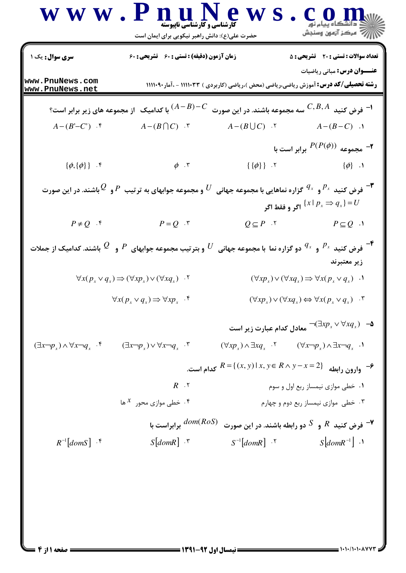|                                                                                                                                                                                                                                                                    | www.PnuNews<br><b>کارشناسی و کارشناسی ناپیوسته</b><br>حضرت علی(ع): دانش راهبر نیکویی برای ایمان است                                                                                                                                       |                                                                                               | )<br>  / <del>/</del> مرکز آزمون وسنجش                                                         |  |  |
|--------------------------------------------------------------------------------------------------------------------------------------------------------------------------------------------------------------------------------------------------------------------|-------------------------------------------------------------------------------------------------------------------------------------------------------------------------------------------------------------------------------------------|-----------------------------------------------------------------------------------------------|------------------------------------------------------------------------------------------------|--|--|
| <b>سری سوال :</b> یک ۱                                                                                                                                                                                                                                             | زمان آزمون (دقیقه) : تستی : 60 تشریحی : 60                                                                                                                                                                                                |                                                                                               | <b>تعداد سوالات : تستي : 20 - تشريحي : 5</b>                                                   |  |  |
| www.PnuNews.com<br>www.PnuNews.net                                                                                                                                                                                                                                 |                                                                                                                                                                                                                                           | <b>رشته تحصیلی/کد درس: آ</b> موزش ریاضی،ریاضی (محض )،ریاضی (کاربردی ) ۱۱۱۱۰۳۳ - ،آمار۱۱۱۰۹۰۰  | <b>عنـــوان درس:</b> مبانی ریاضیات                                                             |  |  |
| با کدامیک $\,$ از مجموعه های زیر برابر است $\, (A-B)\!-\!C$<br>$C, B, A$ فرض کنید $^{-1}$<br>سه مجموعه باشند. در این صورت                                                                                                                                          |                                                                                                                                                                                                                                           |                                                                                               |                                                                                                |  |  |
| $A-(B'-C')$ .                                                                                                                                                                                                                                                      | $A-(B\bigcap C)$ .                                                                                                                                                                                                                        | $A-(B\bigcup C)$ .                                                                            | $A-(B-C)$ .                                                                                    |  |  |
|                                                                                                                                                                                                                                                                    |                                                                                                                                                                                                                                           |                                                                                               | جا مجموعه $P(P(\phi))$ برابر است با $\blacktriangleright$                                      |  |  |
| $\{\phi,\{\phi\}\}\$ .                                                                                                                                                                                                                                             | $\phi$ . $\mathbf r$                                                                                                                                                                                                                      | $\{\{\phi\}\}$ . $\mathbf{y}$                                                                 | $\{\phi\}$ .                                                                                   |  |  |
| فرض کنید $P_{^X}$ و $^{Q_{_X}}$ گزاره نماهایی با مجموعه جهانی $U$ و مجموعه جوابهای به ترتیب $P$ و $\mathcal{Q}$ باشند. در این صورت $^{\prime\prime}$<br>اگر و فقط اگر $\{x \mid p_{\scriptscriptstyle X} \Rightarrow q_{\scriptscriptstyle X}\}$ اگر و فقط اگر $U$ |                                                                                                                                                                                                                                           |                                                                                               |                                                                                                |  |  |
| $P \neq Q$ .                                                                                                                                                                                                                                                       | $P = Q \cdot r$                                                                                                                                                                                                                           | $Q \subseteq P$ . $\zeta$                                                                     | $P \subseteq Q$ .                                                                              |  |  |
|                                                                                                                                                                                                                                                                    | فرض کنید $P_{x}$ و $^{Q_{x}}$ دو گزاره نما با مجموعه جهانی $U$ و بترتیب مجموعه جوابهای $P$ و $\mathcal{Q}$ باشند. کدامیک از جملات $^{\text{F}}$                                                                                           |                                                                                               | زير معتبرند                                                                                    |  |  |
|                                                                                                                                                                                                                                                                    | $\forall x (p_x \lor q_x) \Longrightarrow (\forall x p_x) \lor (\forall x q_x)$ .                                                                                                                                                         |                                                                                               | $(\forall x p_x) \lor (\forall x q_x) \Rightarrow \forall x (p_x \lor q_x)$ .                  |  |  |
|                                                                                                                                                                                                                                                                    | $\forall x(p_x \lor q_x) \Longrightarrow \forall x p_x$ .                                                                                                                                                                                 |                                                                                               | $(\forall x p_x) \lor (\forall x q_x) \Leftrightarrow \forall x (p_x \lor q_x)$ .              |  |  |
|                                                                                                                                                                                                                                                                    |                                                                                                                                                                                                                                           |                                                                                               | هـــ $\exists x p_x \lor \forall x q_x$ معادل کدام عبارت زیر است $\Box p_x \lor \forall x q_x$ |  |  |
|                                                                                                                                                                                                                                                                    | $(\exists x \neg p_x) \land \forall x \neg q_x$ f $(\exists x \neg p_x) \lor \forall x \neg q_x$ f                                                                                                                                        | $(\forall x p_x) \wedge \exists x q_x$ '' $(\forall x \neg p_x) \wedge \exists x \neg q_x$ '' |                                                                                                |  |  |
|                                                                                                                                                                                                                                                                    |                                                                                                                                                                                                                                           | - وارون رابطه $R = \{(x, y)   x, y \in R \land y - x = 2\}$ كدام است.                         |                                                                                                |  |  |
|                                                                                                                                                                                                                                                                    | $R \cdot Y$                                                                                                                                                                                                                               | ۰۱ خطی موازی نیمساز ربع اول و سوم                                                             |                                                                                                |  |  |
| ۰۳ خطی موازی نیمساز ربع دوم و چهارم<br>۰۴ خطی موازی محور $x$ ها $\cdot$                                                                                                                                                                                            |                                                                                                                                                                                                                                           |                                                                                               |                                                                                                |  |  |
|                                                                                                                                                                                                                                                                    |                                                                                                                                                                                                                                           | فرض کنید $R$ و $S$ دو رابطه باشند. در این صورت $dom(RoS)$ برابراست با $\blacktriangleright$   |                                                                                                |  |  |
| $R^{-1}$ [domS] $\cdot$ $\uparrow$                                                                                                                                                                                                                                 | $S\lfloor domR \rfloor$ . \vectless \vectless \vectless \vectless \vectless \vectless \vectless \vectless \vectless \vectless \vectless \vectless \vectless \vectless \vectless \vectless \vectless \vectless \vectless \vectless \vectle | $S^{-1}$ [domR] $\cdot$ $\cdot$                                                               | $S\vert domR^{-1}\vert$ .                                                                      |  |  |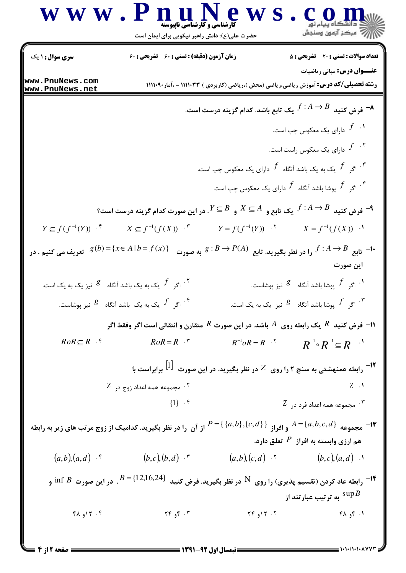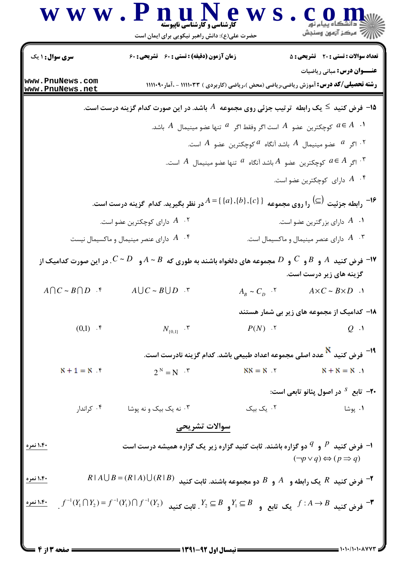|                                                                                                        | W W . $P \nrightarrow Q$ $W \cdot W$<br>حضرت علی(ع): دانش راهبر نیکویی برای ایمان است                                                              |                                      | COD                                                                                                                                |  |  |  |
|--------------------------------------------------------------------------------------------------------|----------------------------------------------------------------------------------------------------------------------------------------------------|--------------------------------------|------------------------------------------------------------------------------------------------------------------------------------|--|--|--|
| سری سوال : ۱ یک                                                                                        | زمان آزمون (دقیقه) : تستی : 60 قشریحی : 60                                                                                                         |                                      | <b>تعداد سوالات : تستی : 20 - تشریحی : 5</b>                                                                                       |  |  |  |
| www.PnuNews.com<br>www.PnuNews.net                                                                     |                                                                                                                                                    |                                      | <b>عنـــوان درس:</b> مبانی ریاضیات<br><b>رشته تحصیلی/کد درس: آ</b> موزش ریاضی،ریاضی (محض )،ریاضی (کاربردی ) ۱۱۱۱۰۳۳ - ،آمار۱۱۱۱۰۹۰ |  |  |  |
| ا— فرض کنید $\le$ یک رابطه $\,$ ترتیب جزئی روی مجموعه $\,$ باشد. در این صورت کدام گزینه درست است. $\,$ |                                                                                                                                                    |                                      |                                                                                                                                    |  |  |  |
| ل مجكترين عضو $A$ است اگر وفقط اگر $^{\quad a}$ تنها عضو مينيمال $A$ باشد. $a\in A$                    |                                                                                                                                                    |                                      |                                                                                                                                    |  |  |  |
| ا اگر $\,$ عضو مینیمال $\,$ باشد آنگاه $^{\,a}$ کوچکترین عضو $\,$ است. $^{\,a}$                        |                                                                                                                                                    |                                      |                                                                                                                                    |  |  |  |
| اگر $A\in A$ کوچکترین عضو $A$ باشد آنگاه $^{\,a}$ تنها عضو مینیمال $^{\,a}$ است $^{\,r}$               |                                                                                                                                                    |                                      |                                                                                                                                    |  |  |  |
|                                                                                                        |                                                                                                                                                    |                                      | ا مارای کوچکترین عضو است. $A$ ۰۴                                                                                                   |  |  |  |
|                                                                                                        | در نظر بگیرید. کدام گزینه درست است.                                                                                                                | $A = \{ \{a\}, \{b\}, \{c\} \}$      | <sup>16−</sup> رابطه جزئیت <sup>(</sup> ⊆) را روی مجموعه                                                                           |  |  |  |
|                                                                                                        | دارای کوچکترین عضو است. $A$ $\cdot$ ۲                                                                                                              |                                      | ا. $A$ دارای بزرگترین عضو است. $\,$                                                                                                |  |  |  |
|                                                                                                        | ا مارای عنصر مینیمال و ماکسیمال نیست $A$ $\cdot$ ۴                                                                                                 |                                      | دارای عنصر مینیمال و ماکسیمال است. $A$ $\cdot$ "                                                                                   |  |  |  |
|                                                                                                        | مجموعه های دلخواه باشند به طوری که $A\thicksim B$ و $C\thicksim D$ . در این صورت کدامیک از $D$                                                     |                                      | $C$ فرض کنید $A$ و $B$ و $^\prime$ و $^\prime$<br>گزینه های زیر درست است.                                                          |  |  |  |
| $A \cap C \sim B \cap D$ .                                                                             | $A \cup C \sim B \cup D$ .                                                                                                                         | $A_B \sim C_D$ .                     | $A \times C \sim B \times D$ .                                                                                                     |  |  |  |
|                                                                                                        |                                                                                                                                                    |                                      | ۱۸– کدامیک از مجموعه های زیر بی شمار هستند                                                                                         |  |  |  |
| $(0,1)$ .                                                                                              | $N_{\{0,1\}}$ .                                                                                                                                    | $P(N)$ . $\zeta$                     | $Q_{\cdot}$ .                                                                                                                      |  |  |  |
|                                                                                                        |                                                                                                                                                    |                                      | <sup>19 –</sup> فرض کنید <sup>N</sup> عدد اصلی مجموعه اعداد طبیعی باشد. کدام گزینه نادرست است.                                     |  |  |  |
| $X + 1 = X$                                                                                            | $2^N = N \cdot^r$                                                                                                                                  | $NN = N$ $Y$                         | $X + X = X$                                                                                                                        |  |  |  |
|                                                                                                        |                                                                                                                                                    |                                      | <b>۲۰</b> - تابع <sup>5</sup> در اصول پئانو تابعی است:                                                                             |  |  |  |
| ۰۴ کراندار                                                                                             | ۰۳ نه یک بیک و نه پوشا                                                                                                                             | ۰۲ یک بیک                            | ۰۱ پوشا                                                                                                                            |  |  |  |
|                                                                                                        | سوالات تشريحي                                                                                                                                      |                                      |                                                                                                                                    |  |  |  |
| <u>۱،۴۰ نمره</u>                                                                                       | ا- فرض کنید $P$ و $P$ دو گزاره باشند. ثابت کنید گزاره زیر یک گزاره همیشه درست است $\rho$                                                           |                                      | $(\neg p \lor q) \Leftrightarrow (p \Rightarrow q)$                                                                                |  |  |  |
| ۱،۴۰ نمره                                                                                              | $R \mid A \cup B = (R \mid A) \cup (R \mid B)$                                                                                                     |                                      | فرض کنید $R$ یک رابطه و $A$ و $B$ دو مجموعه باشند. ثابت کنید $^\blacksquare$                                                       |  |  |  |
|                                                                                                        | $f^{-1}(Y_1 \cap Y_2) = f^{-1}(Y_1) \cap f^{-1}(Y_2)$ فرض کنید $f:A \to B$ یک تابع و $Y_2 \subseteq B$ و $Y_1 \subseteq B$ . ثابت کنید $f:A \to B$ |                                      |                                                                                                                                    |  |  |  |
|                                                                                                        |                                                                                                                                                    | ـــــــــــ نیمسال اول ۹۲-۱۳۹۱ ـــــ |                                                                                                                                    |  |  |  |